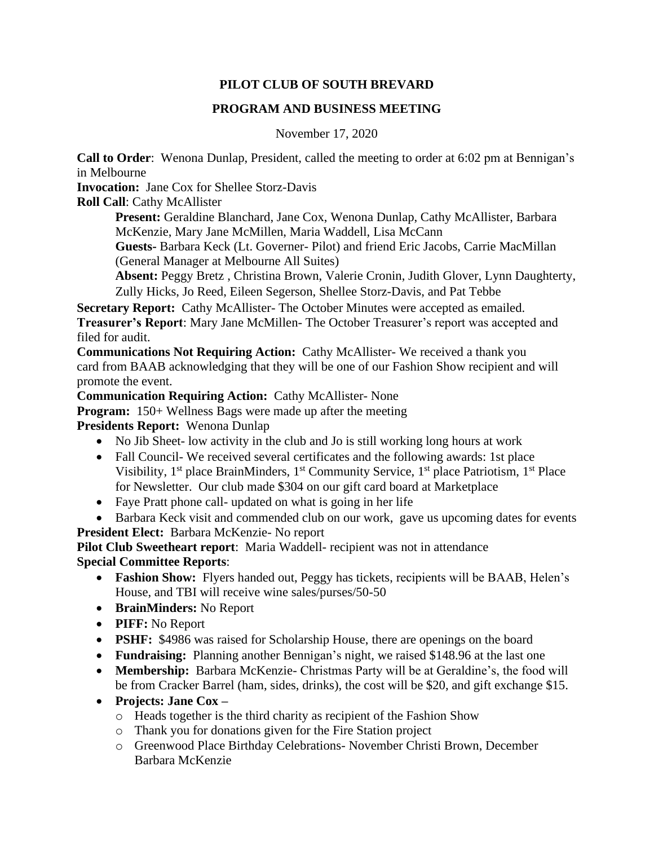## **PILOT CLUB OF SOUTH BREVARD**

#### **PROGRAM AND BUSINESS MEETING**

November 17, 2020

**Call to Order**: Wenona Dunlap, President, called the meeting to order at 6:02 pm at Bennigan's in Melbourne

**Invocation:** Jane Cox for Shellee Storz-Davis

**Roll Call**: Cathy McAllister

**Present:** Geraldine Blanchard, Jane Cox, Wenona Dunlap, Cathy McAllister, Barbara McKenzie, Mary Jane McMillen, Maria Waddell, Lisa McCann

**Guests-** Barbara Keck (Lt. Governer- Pilot) and friend Eric Jacobs, Carrie MacMillan (General Manager at Melbourne All Suites)

**Absent:** Peggy Bretz , Christina Brown, Valerie Cronin, Judith Glover, Lynn Daughterty, Zully Hicks, Jo Reed, Eileen Segerson, Shellee Storz-Davis, and Pat Tebbe

**Secretary Report:** Cathy McAllister- The October Minutes were accepted as emailed. **Treasurer's Report**: Mary Jane McMillen- The October Treasurer's report was accepted and filed for audit.

**Communications Not Requiring Action:** Cathy McAllister- We received a thank you card from BAAB acknowledging that they will be one of our Fashion Show recipient and will promote the event.

**Communication Requiring Action:** Cathy McAllister- None

**Program:** 150+ Wellness Bags were made up after the meeting

**Presidents Report:** Wenona Dunlap

- No Jib Sheet- low activity in the club and Jo is still working long hours at work
- Fall Council- We received several certificates and the following awards: 1st place Visibility,  $1<sup>st</sup>$  place BrainMinders,  $1<sup>st</sup>$  Community Service,  $1<sup>st</sup>$  place Patriotism,  $1<sup>st</sup>$  Place for Newsletter. Our club made \$304 on our gift card board at Marketplace
- Faye Pratt phone call- updated on what is going in her life
- Barbara Keck visit and commended club on our work, gave us upcoming dates for events **President Elect:** Barbara McKenzie- No report

**Pilot Club Sweetheart report**: Maria Waddell- recipient was not in attendance **Special Committee Reports**:

- **Fashion Show:** Flyers handed out, Peggy has tickets, recipients will be BAAB, Helen's House, and TBI will receive wine sales/purses/50-50
- **BrainMinders:** No Report
- **PIFF:** No Report
- **PSHF:** \$4986 was raised for Scholarship House, there are openings on the board
- **Fundraising:** Planning another Bennigan's night, we raised \$148.96 at the last one
- **Membership:** Barbara McKenzie- Christmas Party will be at Geraldine's, the food will be from Cracker Barrel (ham, sides, drinks), the cost will be \$20, and gift exchange \$15.
- **Projects: Jane Cox –**
	- o Heads together is the third charity as recipient of the Fashion Show
	- o Thank you for donations given for the Fire Station project
	- o Greenwood Place Birthday Celebrations- November Christi Brown, December Barbara McKenzie